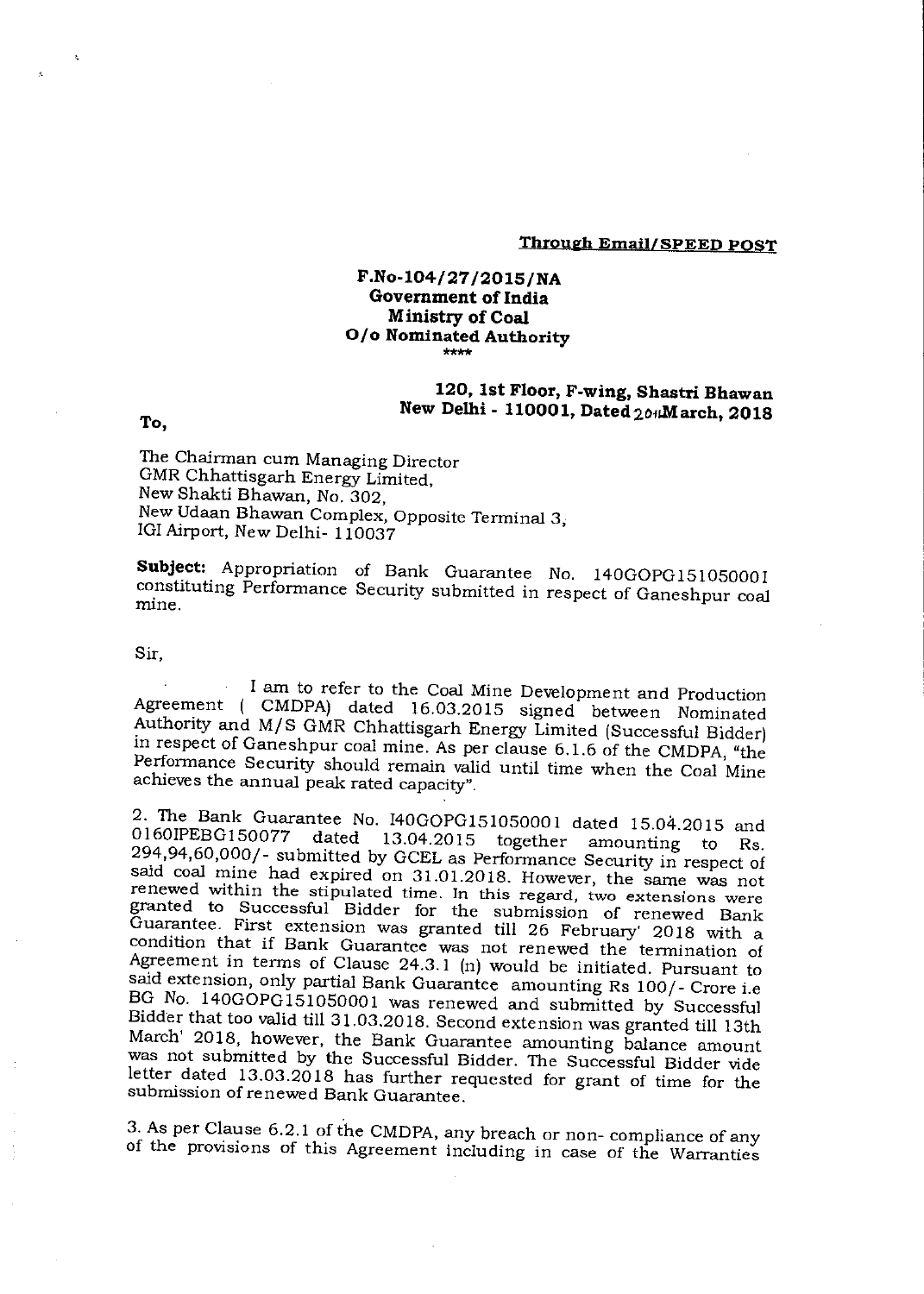## **Through Email/SPEED POST**

### **F.No-104/27/2015/NA Government of India Ministry of Coal 0/o Nominated Authority \*\*\*\***

# **120, 1st Floor, F-wing, Shastri Bhawan New Delhi - 110001, Dated 2olaviarch, 2018**

### **To,**

The Chairman cum Managing Director GMR Chhattisgarh Energy Limited, New Shakti Bhawan, No. 302, New Udaan Bhawan Complex, Opposite Terminal 3, IGI Airport, New Delhi- 110037

**Subject:** Appropriation of Bank Guarantee No. 140GOPG151050001 constituting Performance Security submitted in respect of Ganeshpur coal mine

### Sir,

I am to refer to the Coal Mine Development and Production Agreement ( CMDPA) dated 16.03.2015 signed between Nominated Authority and M/S GMR Chhattisgarh Energy Limited (Successful Bidder) in respect of Ganeshpur coal mine. As per clause 6.1.6 of the CMDPA, "the Performance Security should remain valid until time when the Coal Mine achieves the annual peak rated capacity".

2. The Bank Guarantee No. 140GOPG151050001 dated 15.04.2015 and 0160IPEBG150077 dated 13.04.2015 together amounting to Rs. 294,94,60,000/- submitted by GCEL as Performance Security in respect of said coal mine had expired on 31.01.2018. However, the same was not renewed within the stipulated time. In this regard, two extensions were granted to Successful Bidder for the submission of renewed Bank Guarantee. First extension was granted till 26 February' 2018 with a condition that if Bank Guarantee was not renewed the termination of Agreement in terms of Clause 24.3.1 (n) would be initiated. Pursuant to said extension, only partial Bank Guarantee amounting Rs 100/- Crore i.e BG No. 140G0PG151050001 was renewed and submitted by Successful Bidder that too valid till 31.03.2018. Second extension was granted till 13th March' 2018, however, the Bank Guarantee amounting balance amount was not submitted by the Successful Bidder. The Successful Bidder vide letter dated 13.03.2018 has further requested for grant of time for the submission of renewed Bank Guarantee.

3. As per Clause 6.2.1 of the CMDPA, any breach or non- compliance of any of the provisions of this Agreement including in case of the Warranties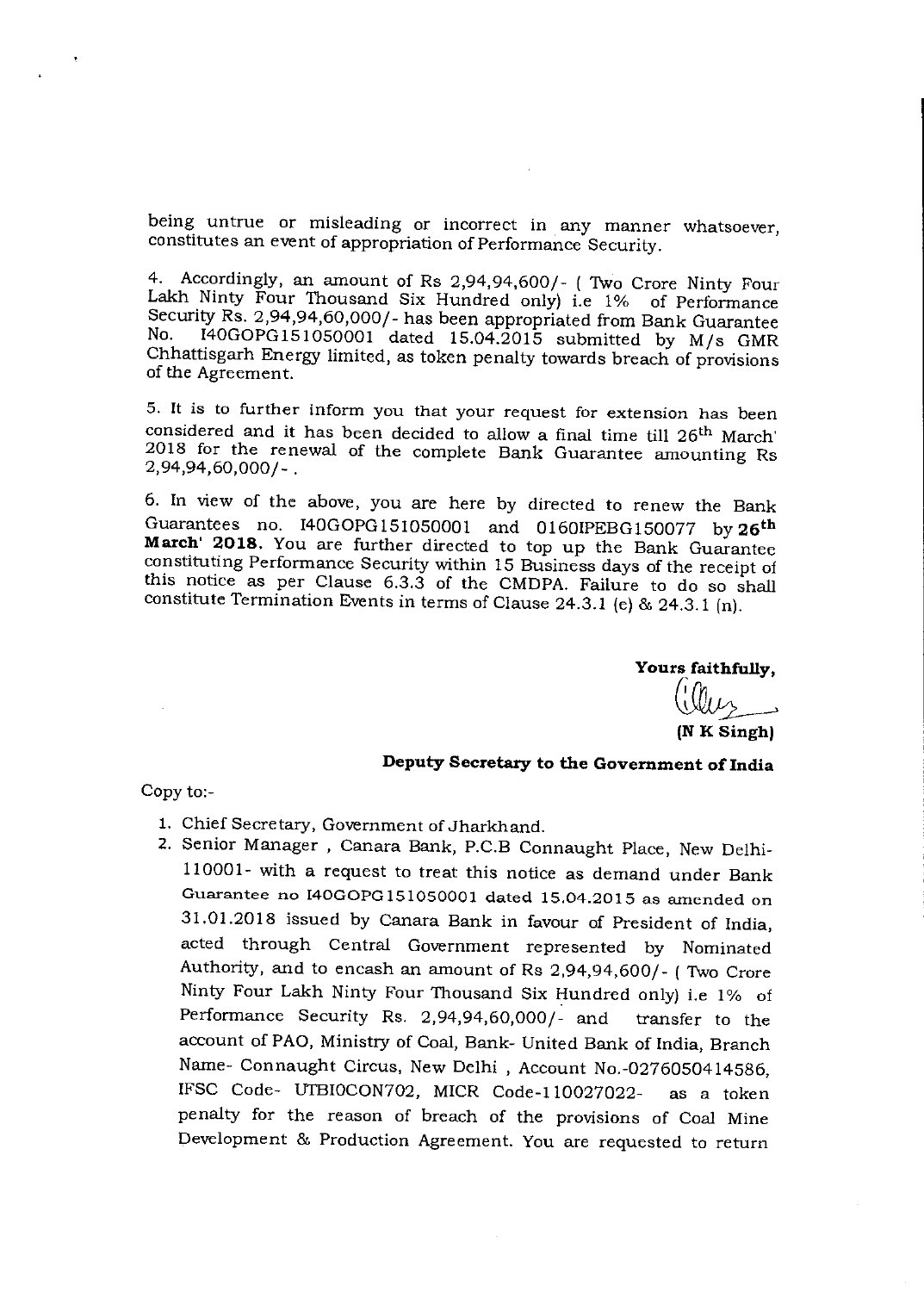being untrue or misleading or incorrect in any manner whatsoever, constitutes an event of appropriation of Performance Security.

4. Accordingly, an amount of Rs 2,94,94,600/- ( Two Crore Ninty Four Lakh Ninty Four Thousand Six Hundred only) i.e 1% of Performance Security Rs. 2,94,94,60,000/- has been appropriated from Bank Guarantee<br>No. 140GOPG151050001 dated 15.04.2015 submitted by M/s. CMP  $I40GOPG151050001$  dated 15.04.2015 submitted by M/s GMR Chhattisgarh Energy limited, as token penalty towards breach of provisions of the Agreement.

5. It is to further inform you that your request for extension has been considered and it has been decided to allow a final time till 26<sup>th</sup> March' 2018 for the renewal of the complete Bank Guarantee amounting Rs 2,94,94,60,000/-

6. In view of the above, you are here by directed to renew the Bank Guarantees no. 140GOPG151050001 and 0160IPEBG150077 by **26th March' 2018.** You are further directed to top up the Bank Guarantee constituting Performance Security within 15 Business days of the receipt of this notice as per Clause 6.3.3 of the CMDPA. Failure to do so shall constitute Termination Events in terms of Clause 24.3.1 (e) & 24.3.1 (n).

**Yours faithfully,** 

**Cri vi (N K Singh)** 

**Deputy Secretary to the Government of India** 

Copy to:-

- 1. Chief Secretary, Government of Jharkhand.
- 2. Senior Manager , Canara Bank, P.C.B Connaught Place, New Delhi-110001- with a request to treat this notice as demand under Bank Guarantee no 140GOPG151050001 dated 15.04.2015 as amended on 31.01.2018 issued by Canara Bank in favour of President of India, acted through Central Government represented by Nominated Authority, and to encash an amount of Rs 2,94,94,600/- ( Two Crore Ninty Four Lakh Ninty Four Thousand Six Hundred only) i.e 1% of Performance Security Rs. 2,94,94,60,000/- and transfer to the account of PAO, Ministry of Coal, Bank- United Bank of India, Branch Name- Connaught Circus, New Delhi , Account No.-0276050414586, IFSC Code- UTBIOCON702, MICR Code-110027022- as a token penalty for the reason of breach of the provisions of Coal Mine Development & Production Agreement. You are requested to return